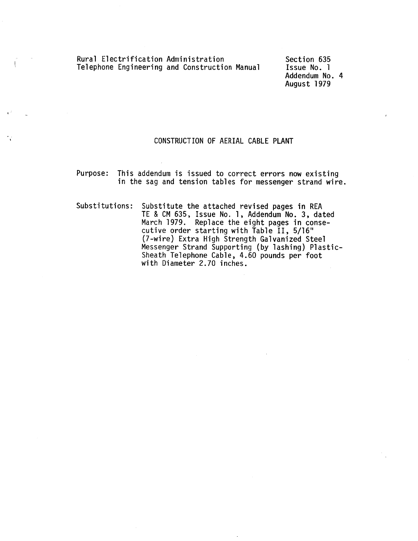Rural Electrification Administration Telephone Engineering and Construction Manual

 $\overline{1}$ 

Section 635 Issue No. l Addendum No. 4 August 1979

# CONSTRUCTION OF AERIAL CABLE PLANT

Purpose: This addendum is issued to correct errors now existing<br>in the sag and tension tables for messenger strand wire.

Substitutions: Substitute the attached revised pages in REA<br>TE & CM 635, Issue No. 1, Addendum No. 3, dated<br>March 1979. Replace the eight pages in consecutive order starting with Table II, 5/16"<br>(7-wire) Extra High Strength Galvanized Steel Messenger Strand Supporting (by lashing) Plastic-<br>Sheath Telephone Cable, 4.60 pounds per foot<br>with Diameter 2.70 inches.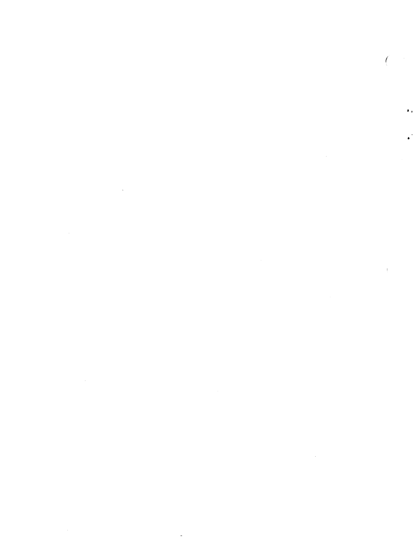$\int$ 

 $\label{eq:2.1} \frac{1}{\sqrt{2}}\int_{\mathbb{R}^3} \frac{1}{\sqrt{2}}\left(\frac{1}{\sqrt{2}}\right)^2\left(\frac{1}{\sqrt{2}}\right)^2\left(\frac{1}{\sqrt{2}}\right)^2\left(\frac{1}{\sqrt{2}}\right)^2\left(\frac{1}{\sqrt{2}}\right)^2\left(\frac{1}{\sqrt{2}}\right)^2\left(\frac{1}{\sqrt{2}}\right)^2\left(\frac{1}{\sqrt{2}}\right)^2\left(\frac{1}{\sqrt{2}}\right)^2\left(\frac{1}{\sqrt{2}}\right)^2\left(\frac{1}{\sqrt{2}}\right)^2\left(\$ 

 $\label{eq:2.1} \frac{1}{\sqrt{2}}\left(\frac{1}{\sqrt{2}}\right)^{2} \left(\frac{1}{\sqrt{2}}\right)^{2} \left(\frac{1}{\sqrt{2}}\right)^{2} \left(\frac{1}{\sqrt{2}}\right)^{2} \left(\frac{1}{\sqrt{2}}\right)^{2} \left(\frac{1}{\sqrt{2}}\right)^{2} \left(\frac{1}{\sqrt{2}}\right)^{2} \left(\frac{1}{\sqrt{2}}\right)^{2} \left(\frac{1}{\sqrt{2}}\right)^{2} \left(\frac{1}{\sqrt{2}}\right)^{2} \left(\frac{1}{\sqrt{2}}\right)^{2} \left(\$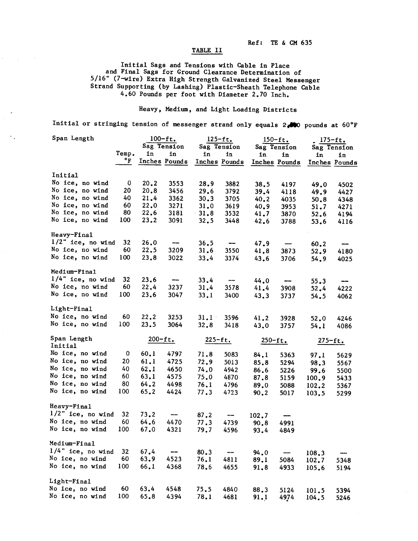## TABLE II

Initial Sags and Tensions with Cable in Place and Final Sags for Ground Clearance Determination of 5/16" (7-wire) Extra High Strength Galvanized Steel Messenger Strand Supporting (by Lashing) Plastic-Sheath Telephone Cable 4.60 Pounds per foot with Diameter 2.70 Inch.

# Heavy, Medium, and Light Loading Districts

Initial or stringing tension of messenger strand only equals  $2,400$  pounds at  $60^{\circ}$ F

| Span Length          |              |             | $100 - ft.$   |           | $125 - ft.$   |             | $150 - ft.$              | $175-ft.$ |               |
|----------------------|--------------|-------------|---------------|-----------|---------------|-------------|--------------------------|-----------|---------------|
|                      |              |             | Sag Tension   |           | Sag Tension   |             | Sag Tension              |           | Sag Tension   |
|                      | Temp.        | in          | in            | in        | in            | in          | 1n                       | in        | in            |
|                      | $\mathbf{P}$ |             | Inches Pounds |           | Inches Pounds |             | Inches Pounds            |           | Inches Pounds |
|                      |              |             |               |           |               |             |                          |           |               |
| Initial              |              |             |               |           |               |             |                          |           |               |
| No ice, no wind      | $\bf{0}$     | 20.2        | 3553          | 28.9      | 3882          | 38.5        | 4197                     | 49.0      | 4502          |
| No ice, no wind      | 20           | 20.8        | 3456          | 29.6      | 3792          | 39.4        | 4118                     | 49.9      | 4427          |
| No ice, no wind      | 40           | 21.4        | 3362          | 30.3      | 3705          | 40.2        | 4035                     | 50.8      | 4348          |
| No ice, no wind      | 60           | 22.0        | 3271          | 31.0      | 3619          | 40.9        | 3953                     | 51.7      | 4271          |
| No ice, no wind      | 80           | 22.6        | 3181          | 31.8      | 3532          | 41.7        | 3870                     | 52.6      | 4194          |
| No ice, no wind      | 100          | 23.2        | 3091          | 32.5      | 3448          | 42.6        | 3788                     | 53.6      | 4116          |
| Heavy-Final          |              |             |               |           |               |             |                          |           |               |
| $1/2$ " ice, no wind | 32           | 26.0        | --            | 36.5      | ∽–            | 47.9        |                          | 60.2      | --            |
| No ice, no wind      | 60           | 22.5        | 3209          | 31.6      | 3550          | 41.8        | 3873                     | 52.9      | 4180          |
| No ice, no wind      | 100          | 23.8        | 3022          | 33.4      | 3374          | 43.6        | 3706                     | 54.9      | 4025          |
|                      |              |             |               |           |               |             |                          |           |               |
| Medium-Final         |              |             |               |           |               |             |                          |           |               |
| $1/4$ " ice, no wind | 32           | 23.6        | ——            | 33.4      | $-\!$         | 44.0        | $\overline{\phantom{m}}$ | 55.3      |               |
| No ice, no wind      | 60           | 22.4        | 3237          | 31.4      | 3578          | 41.4        | 3908                     | 52.4      | 4222          |
| No ice, no wind      | 100          | 23.6        | 3047          | 33.1      | 3400          | 43.3        | 3737                     | 54.5      | 4062          |
| Light-Final          |              |             |               |           |               |             |                          |           |               |
| No ice, no wind      | 60           | 22.2        | 3253          | 31.1      | 3596          | 41,2        | 3928                     | 52.0      |               |
| No ice, no wind      | 100          | 23.5        | 3064          | 32.8      | 3418          | 43.0        | 3757                     | 54.1      | 4246<br>4086  |
|                      |              |             |               |           |               |             |                          |           |               |
| Span Length          |              | $200 - ft.$ |               | $225-ft.$ |               | $250 - ft.$ |                          | $275-ft.$ |               |
| Initial              |              |             |               |           |               |             |                          |           |               |
| No ice, no wind      | $\mathbf{0}$ | 60.1        | 4797          | 71.8      | 5083          | 84.1        | 5363                     | 97.1      | 5629          |
| No ice, no wind      | 20           | 61.1        | 4725          | 72.9      | 5013          | 85.8        | 5294                     | 98.3      | 5567          |
| No ice, no wind      | 40           | 62.1        | 4650          | 74.0      | 4942          | 86.6        | 5226                     | 99.6      | 5500          |
| No ice, no wind      | 60           | 63.1        | 4575          | 75.0      | 4870          | 87.8        | 5159                     | 100.9     | 5433          |
| No ice, no wind      | 80           | 64.2        | 4498          | 76.1      | 4796          | 89.0        | 5088                     | 102.2     |               |
| No ice, no wind      | 100          | 65.2        | 4424          | 77.3      | 4723          |             |                          |           | 5367          |
|                      |              |             |               |           |               | 90.2        | 5017                     | 103.5     | 5299          |
| Heavy-Final          |              |             |               |           |               |             |                          |           |               |
| $1/2$ " ice, no wind | 32           | 73.2        | --            | 87.2      | --            | 102.7       |                          |           |               |
| No ice, no wind      | 60           | 64.6        | 4470          | 77.3      | 4739          | 90.8        | 4991                     |           |               |
| No ice, no wind      | 100          | 67.0        | 4321          | 79.7      | 4596          | 93.4        | 4849                     |           |               |
|                      |              |             |               |           |               |             |                          |           |               |
| Medium-Final         |              |             |               |           |               |             |                          |           |               |
| $1/4$ " ice, no wind | 32           | 67.4        | --            | 80.3      |               | 94.0        |                          | 108.3     | ---           |
| No ice, no wind      | 60           | 63.9        | 4523          | 76.1      | 4811          | 89.1        | 5084                     | 102.7     | 5348          |
| No ice, no wind      | 100          | 66.1        | 4368          | 78.6      | 4655          | 91.8        | 4933                     | 105.6     | 5194          |
| Light-Final          |              |             |               |           |               |             |                          |           |               |
| No ice, no wind      | 60           | 63.4        | 4548          | 75.5      | 4840          | 88.3        | 5124                     | 101.5     | 5394          |
| No ice, no wind      | 100          | 65.8        | 4394          | 78.1      | 4681          | 91.1        | 4974                     | 104.5     | 5246          |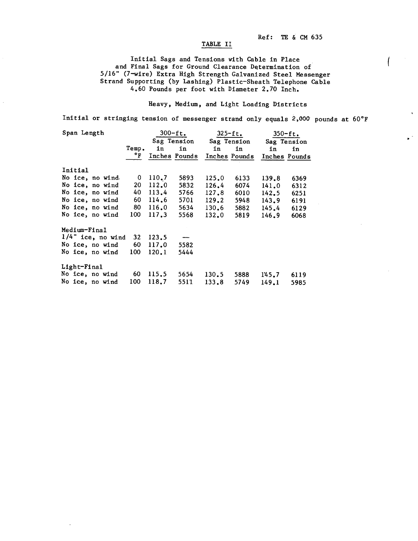$\overline{1}$ 

 $\bullet$ 

## TABLE II

Initial Sags and Tensions with Cable in Place and Final Sags for Ground Clearance Determination of 5/16" (7-wire) Extra High Strength Galvanized Steel Messenger Strand Supporting (by Lashing) Plastic-Sheath Telephone Cable 4.60 Pounds per foot with Diameter 2.70 Inch.

## Heavy, Medium, and Light Loading Districts

Initial or stringing tension of messenger strand only equals  $2,000$  pounds at  $60^{\circ}$ F

| Span Length          |              |       | $300 - ft.$   |       | $325 - ft.$   | $350 - ft.$   |      |  |
|----------------------|--------------|-------|---------------|-------|---------------|---------------|------|--|
|                      |              |       | Sag Tension   |       | Sag Tension   | Sag Tension   |      |  |
|                      | Temp.        | in    | in            | in    | in            | in            | in   |  |
|                      | $\mathbf{P}$ |       | Inches Pounds |       | Inches Pounds | Inches Pounds |      |  |
| Initial              |              |       |               |       |               |               |      |  |
| No ice, no wind      | $\mathbf 0$  | 110.7 | 5893          | 125.0 | 6133          | 139.8         | 6369 |  |
| No ice, no wind      | 20           | 112.0 | 5832          | 126.4 | 6074          | 141.0         | 6312 |  |
| No ice, no wind      | 40           | 113.4 | 5766          | 127.8 | 6010          | 142.5         | 6251 |  |
| No ice, no wind      | 60           | 114.6 | 5701          | 129.2 | 5948          | 143.9         | 6191 |  |
| No ice, no wind      | 80           | 116.0 | 5634          | 130.6 | 5882          | 145.4         | 6129 |  |
| No ice, no wind      | 100          | 117.3 | 5568          | 132.0 | 5819          | 146.9         | 6068 |  |
| Medium-Final         |              |       |               |       |               |               |      |  |
| $1/4$ " ice, no wind | 32           | 123.5 |               |       |               |               |      |  |
| No ice, no wind      | 60           | 117.0 | 5582          |       |               |               |      |  |
| No ice, no wind      | 100          | 120.1 | 5444          |       |               |               |      |  |
| Light-Final          |              |       |               |       |               |               |      |  |
| No ice, no wind      | 60           | 115.5 | 5654          | 130.5 | 5888          | 145.7         | 6119 |  |
| No ice, no wind      | 100          | 118.7 | 5511          | 133.8 | 5749          | 149.1         | 5985 |  |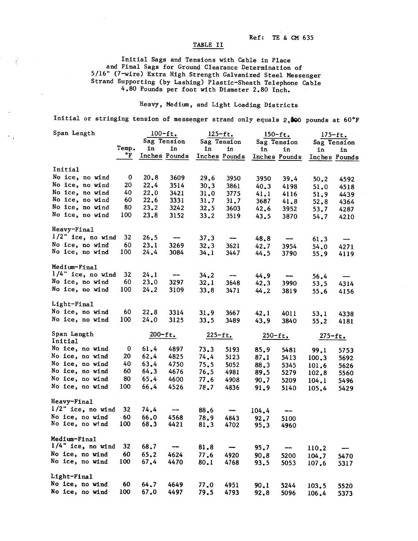#### TABLE II

Initial Sags and Tensions with Cable in Place and Final Sags for Ground Clearance Determination of<br>5/16" (7-wire) Extra High Strength Galvanized Steel Messenger Strand Supporting (by Lashing) Plastic-Sheath Telephone Cable 4.80 Pounds per foot with Diameter 2.80 Inch.

 $\tilde{C}$ 

# Heavy, Medium, and Light Loading Districts

Initial or stringing tension of messenger strand only equals 2,000 pounds at 60°F

| Span Length          |          |             | $100 - ft.$   |           | $125 - ft.$   | $150 - ft.$ |                        |                | $175 - ft.$   |
|----------------------|----------|-------------|---------------|-----------|---------------|-------------|------------------------|----------------|---------------|
|                      |          |             | Sag Tension   |           | Sag Tension   | Sag Tension |                        |                | Sag Tension   |
|                      | Temp.    | in          | in            | in        | in            | in          | in                     | in             | in            |
|                      | °F       |             | Inches Pounds |           | Inches Pounds |             | Inches Pounds          |                | Inches Pounds |
|                      |          |             |               |           |               |             |                        |                |               |
| Initial              |          |             |               |           |               |             |                        |                |               |
| No ice, no wind      | 0        | 20.8        | 3609          | 29.6      | 3950          | 3950        | 39.4                   | 50.2           | 4592          |
| No ice, no wind      | 20       | 22.4        | 3514          | 30.3      | 3861          | 40.3        | 4198                   | 51.0           | 4518          |
| No ice, no wind      | 40       | 22.0        | 3421          | 31.0      | 3775          | 41.1        | 4116                   | 51.9           | 4439          |
| No ice, no wind      | 60       | 22.6        | 3331          | 31.7      | 31.7          | 3687        | 41.8                   | 52.8           | 4364          |
| No ice, no wind      | 80       | 23.2        | 3242          | 32.5      | 3603          | 42.6        | 3952                   | 53.7           | 4287          |
| No ice, no wind      | 100      | 23.8        | 3152          | 33.2      | 3519          | 43.5        | 3870                   | 54.7           | 4210          |
|                      |          |             |               |           |               |             |                        |                |               |
| Heavy-Final          |          |             |               |           |               |             |                        |                |               |
| $1/2$ " ice, no wind | 32       | 26.5        | --            | 37.3      | $-$           | 48.8        | --                     | 61.3           |               |
| No ice, no wind      | 60       | 23.1        | 3269          | 32.3      | 3621          | 42.7        | 3954                   | 54.0           | 4271          |
| No ice, no wind      | 100      | 24.4        | 3084          | 34.1      | 3447          | 44.5        | 3790                   | 55.9           | 4119          |
|                      |          |             |               |           |               |             |                        |                |               |
| Medium-Final         |          |             |               |           |               |             |                        |                |               |
| $1/4$ " ice, no wind | 32       | 24.1        | --            | 34.2      | --            | 44.9        | $\qquad \qquad \cdots$ | 56.4           |               |
| No ice, no wind      | 60       | 23.0        | 3297          | 32.1      | 3648          | 42.3        | 3990                   | 53.5           | 4314          |
| No ice, no wind      | 100      | 24.2        | 3109          | 33.8      | 3471          | 44.2        | 3819                   | 55.6           | 4156          |
|                      |          |             |               |           |               |             |                        |                |               |
| Light-Final          |          |             |               |           |               |             |                        |                |               |
| No ice, no wind      | 60       | 22.8        | 3314          | 31.9      | 3667          | 42.1        | 4011                   | 53.1           | 4338          |
| No ice, no wind      | 100      | 24.0        | 3125          | 33.5      | 3489          | 43.9        | 3840                   | $55.2^{\circ}$ | 4181          |
|                      |          |             |               |           |               |             |                        |                |               |
| Span Length          |          | $200 - ft.$ |               | $225-ft.$ |               | $250 - ft.$ |                        | $275 - ft.$    |               |
| Initial              |          |             |               |           |               |             |                        |                |               |
| No ice, no wind      | $\bf{0}$ | 61.4        | 4897          | 73.3      | 5193          | 85.9        | 5481                   | 99.1           | 5753          |
| No ice, no wind      | 20       | 62.4        | 4825          | 74.4      | 5123          | 87.1        | 5413                   | 100.3          | 5692          |
| No ice, no wind      | 40       | 63.4        | 4750          | 75.5      | 5052          | 88.3        | 5345                   | 101.6          | 5626          |
| No ice, no wind      | 60       | 64.3        | 4676          | 76.5      | 4981          | 89.5        | 5279                   | 102.8          | 5560          |
| No ice, no wind      | 80       | 65.4        | 4600          | 77.6      | 4908          | 90.7        | 5209                   | 104.1          | 5496          |
| No ice, no wind      | 100      | 66.4        | 4526          | 78.7      | 4836          | 91.9        | 5140                   | 105.4          |               |
|                      |          |             |               |           |               |             |                        |                | 5429          |
| Heavy-Final          |          |             |               |           |               |             |                        |                |               |
| $1/2$ " ice, no wind | 32       | 74.4        | --            | 88.6      |               | 104.4       |                        |                |               |
| No ice, no wind      | 60       | 66.0        | 4568          | 78.9      | 4843          |             |                        |                |               |
| No ice, no wind      | 100      | 68.3        | 4421          | 81.3      | 4702          | 92.7        | 5100                   |                |               |
|                      |          |             |               |           |               | 95.3        | 4960                   |                |               |
| Medium-Final         |          |             |               |           |               |             |                        |                |               |
| $1/4$ " ice, no wind | 32       | 68.7        | --            | 81.8      |               | 95.7        | --                     | 110.2          |               |
| No ice, no wind      | 60       | 65.2        | 4624          | 77.6      | 4920          | 90.8        | 5200                   | 104.7          |               |
| No ice, no wind      | 100      | 67.4        | 4470          | 80.1      | 4768          | 93.5        | 5053                   | 107.6          | 5470          |
|                      |          |             |               |           |               |             |                        |                | 5317          |
| Light-Final          |          |             |               |           |               |             |                        |                |               |
| No ice, no wind      | 60       | 64.7        | 4649          | 77.0      | 4951          | 90.1        | 5244                   | 103.5          | 5520          |
| No ice, no wind      | 100      | 67.0        | 4497          | 79.5      | 4793          | 92.8        | 5096                   | 106.4          | 5373          |
|                      |          |             |               |           |               |             |                        |                |               |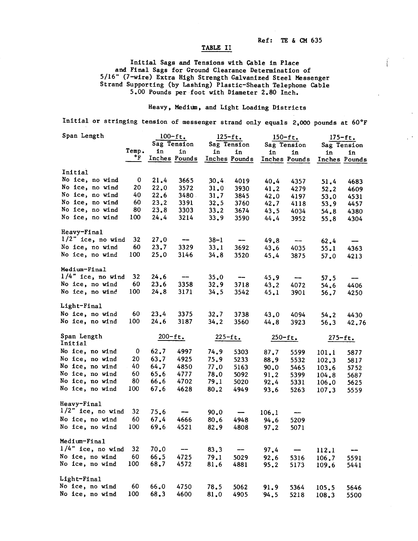## TABLE II

Initial Sags and Tensions with Cable in Place<br>and Final Sags for Ground Clearance Determination of<br>5/16" (7-wire) Extra High Strength Galvanized Steel Messenger Strand Supporting (by Lashing) Plastic-Sheath Telephone Cable 5.00 Pounds per foot with Diameter 2.80 Inch.

## Heavy, Medium, and Light Loading Districts

Initial or stringing tension of messenger strand only equals 2,000 pounds at 60°F

| Span Length            |             |             | $100 - ft.$            |           | $125-ft.$     |             | $150 - ft.$   |           | $175 - ft.$   |
|------------------------|-------------|-------------|------------------------|-----------|---------------|-------------|---------------|-----------|---------------|
|                        |             |             | Sag Tension            |           | Sag Tension   |             | Sag Tension   |           | Sag Tension   |
|                        | Temp.       | in          | in                     | in        | in            | in          | in            | in        | in            |
|                        | °F          |             | Inches Pounds          |           | Inches Pounds |             | Inches Pounds |           | Inches Pounds |
| Initial                |             |             |                        |           |               |             |               |           |               |
| No ice, no wind        | $\mathbf 0$ | 21.4        | 3665                   | 30.4      | 4019          |             |               |           |               |
| No ice, no wind        | 20          | 22.0        | 3572                   | 31.0      | 3930          | 40.4        | 4357          | 51.4      | 4683          |
| No ice, no wind        | 40          | 22.6        | 3480                   | 31.7      |               | 41.2        | 4279          | 52.2      | 4609          |
| No ice, no wind        | 60          | 23.2        | 3391                   | 32.5      | 3845<br>3760  | 42.0        | 4197          | 53.0      | 4531          |
| No ice, no wind        | 80          | 23.8        | 3303                   |           |               | 42.7        | 4118          | 53.9      | 4457          |
| No ice, no wind        | 100         | 24.4        | 3214                   | 33.2      | 3674          | 43.5        | 4034          | 54.8      | 4380          |
|                        |             |             |                        | 33.9      | 3590          | 44.4        | 3952          | 55.8      | 4304          |
| Heavy-Final            |             |             |                        |           |               |             |               |           |               |
| $1/2$ " ice, no wind   | 32          | 27.0        | $\qquad \qquad \cdots$ | $38 - 1$  | $-\!$         | 49.8        | --            | 62.4      |               |
| No ice, no wind        | 60          | 23.7        | 3329                   | 33.1      | 3692          | 43.6        | 4035          | 55.1      | 4363          |
| No ice, no wind        | 100         | 25.0        | 3146                   | 34.8      | 3520          | 45.4        | 3875          | 57.0      | 4213          |
|                        |             |             |                        |           |               |             |               |           |               |
| Medium-Final           |             |             |                        |           |               |             |               |           |               |
| $1/4$ " ice, no wind   | 32          | 24.6        | --                     | 35.0      | --            | 45.9        | --            | 57.5      |               |
| No ice, no wind        | 60          | 23.6        | 3358                   | 32.9      | 3718          | 43.2        | 4072          | 54.6      | 4406          |
| No ice, no wind        | 100         | 24.8        | 3171                   | 34.5      | 3542          | 45.1        | 3901          | 56.7      | 4250          |
| Light-Final            |             |             |                        |           |               |             |               |           |               |
| No ice, no wind        | 60          | 23.4        | 3375                   | 32.7      | 3738          | 43.0        | 4094          | 54.2      | 4430          |
| No ice, no wind        | 100         | 24.6        | 3187                   | 34.2      | 3560          | 44.8        | 3923          | 56.3      | 42.76         |
| Span Length            |             | $200 - ft.$ |                        | $225-ft.$ |               | $250 - ft.$ |               |           |               |
| Initial                |             |             |                        |           |               |             |               | $275-ft.$ |               |
| No ice, no wind        | $\mathbf 0$ | 62.7        | 4997                   | 74.9      | 5303          | 87.7        | 5599          | 101.1     | 5877          |
| No ice, no wind        | 20          | 63.7        | 4925                   | 75.9      | 5233          | 88.9        | 5532          | 102.3     | 5817          |
| <b>No ice, no wind</b> | 40          | 64.7        | 4850                   | 77.0      | 5163          | 90.0        | 5465          | 103.6     | 5752          |
| No ice, no wind        | 60          | 65.6        | 4777                   | 78.0      | 5092          | 91.2        | 5399          | 104.8     | 5687          |
| <b>No ice, no wind</b> | 80          | 66.6        | 4702                   | 79.1      | 5020          | 92.4        | 5331          | 106.0     | 5625          |
| <b>No ice, no wind</b> | 100         | 67.6        | 4628                   | 80.2      | 4949          | 93.6        | 5263          | 107.3     | 5559          |
|                        |             |             |                        |           |               |             |               |           |               |
| Heavy-Final            |             |             |                        |           |               |             |               |           |               |
| $1/2$ " ice, no wind   | 32          | 75.6        | --                     | 90.0      | --            | 106,1       |               |           |               |
| No ice, no wind        | 60          | 67.4        | 4666                   | 80.6      | 4948          | 94.6        | 5209          |           |               |
| No ice, no wind        | 100         | 69.6        | 4521                   | 82.9      | 4808          | 97.2        | 5071          |           |               |
| <b>Medium-Final</b>    |             |             |                        |           |               |             |               |           |               |
| $1/4$ " ice, no wind   | 32          | 70.0        |                        | 83.3      |               | 97.4        |               | 112.1     |               |
| <b>No ice, no wind</b> | 60          | 66.5        | 4725                   | 79.1      | 5029          | 92.6        | 5316          | 106.7     | --            |
| No ice, no wind        | 100         | 68.7        | 4572                   | 81.6      | 4881          | 95.2        | 5173          | 109.6     | 5591<br>5441  |
|                        |             |             |                        |           |               |             |               |           |               |
| Light-Final            |             |             |                        |           |               |             |               |           |               |
| <b>No ice, no wind</b> | 60          | 66.0        | 4750                   | 78.5      | 5062          | 91.9        | 5364          | 105.5     | 5646          |
| <b>No ice, no wind</b> | 100         | 68.3        | 4600                   | 81.0      | 4905          | 94.5        | 5218          | 108.3     | 5500          |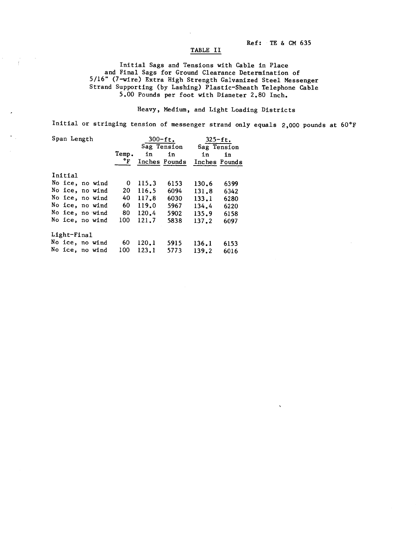#### TABLE II

Initial Sags and Tensions with Cable in Place and Final Sags for Ground Clearance Determination of 5/16" (7-wire) Extra High Strength Galvanized Steel Messenger Strand Supporting (by Lashing) Plastic-Sheath Telephone Cable 5.00 Pounds per foot with Diameter 2.80 Inch.

## Heavy, Medium, and Light Loading Districts

Initial or stringing tension of messenger strand only equals 2,000 pounds at 60°F

| Span Length     |       |       | $300 - ft.$   | $325-ft.$ |               |  |
|-----------------|-------|-------|---------------|-----------|---------------|--|
|                 |       |       | Sag Tension   |           | Sag Tension   |  |
|                 | Temp. | in    | in            | in        | in            |  |
|                 | °F    |       | Inches Pounds |           | Inches Pounds |  |
| Initial         |       |       |               |           |               |  |
| No ice, no wind | 0     | 115.3 | 6153          | 130.6     | 6399          |  |
| No ice, no wind | 20    | 116.5 | 6094          | 131.8     | 6342          |  |
| No ice, no wind | 40    | 117.8 | 6030          | 133.1     | 6280          |  |
| No ice, no wind | 60    | 119.0 | 5967          | 134.4     | 6220          |  |
| No ice, no wind | 80    | 120.4 | 5902          | 135.9     | 6158          |  |
| No ice, no wind | 100   | 121.7 | 5838          | 137.2     | 6097          |  |
| Light-Final     |       |       |               |           |               |  |
| No ice, no wind | 60    | 120.1 | 5915          | 136.1     | 6153          |  |
| No ice, no wind | 100   | 123.1 | 5773          | 139.2     | 6016          |  |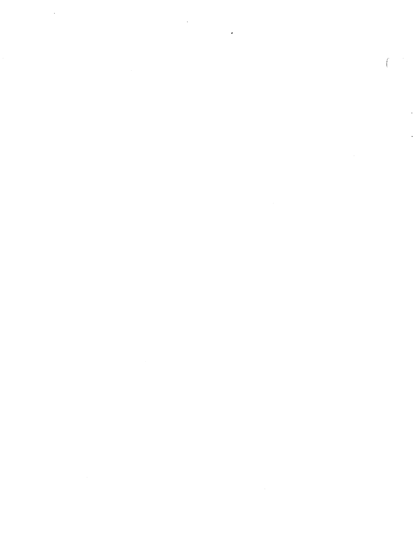$\sim 10^{-10}$  $\sim$  $\sqrt{2}$  $\mathcal{A}^{\pm}$  $\hat{\mathcal{C}}$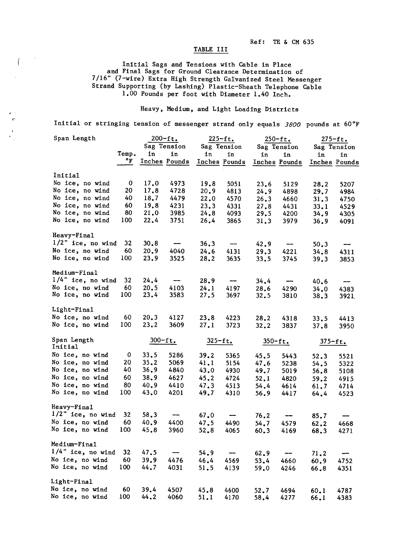## TABLE III

Initial Sags and Tensions with Cable in Place and Final Sags for Ground Clearance Determination of 7/16" (7-wire) Extra High Strength GalVanized Steel Messenger Strand Supporting (by Lashing) Plastic-Sheath Telephone Cable 1.00 Pounds per foot with Diameter 1.40 Inch.

## Heavy, Medium, and Light Loading Districts

Initial or stringing tension of messenger strand only equals 3800 pounds at 60°F

| Span Length                        |              |                | $200 - ft.$                |             | $225 - ft.$   |           | $250 - ft.$   |           | $275 - ft.$   |
|------------------------------------|--------------|----------------|----------------------------|-------------|---------------|-----------|---------------|-----------|---------------|
|                                    |              |                | Sag Tension                | Sag Tension |               |           | Sag Tension   |           | Sag Tension   |
|                                    | Temp.        | in             | in                         | in          | in            | in        | in            | in        | in            |
|                                    | $\mathbf{P}$ |                | Inches Pounds              |             | Inches Pounds |           | Inches Pounds |           | Inches Pounds |
|                                    |              |                |                            |             |               |           |               |           |               |
| Initial                            |              |                |                            |             |               |           |               |           |               |
| No ice, no wind                    | $\bf{0}$     | 17.0           | 4973                       | 19.8        | 5051          | 23.6      | 5129          | 28.2      | 5207          |
| No ice, no wind                    | 20           | 17.8           | 4728                       | 20.9        | 4813          | 24.9      | 4898          | 29.7      | 4984          |
| No ice, no wind                    | 40           | 18.7           | 4479                       | 22.0        | 4570          | 26.3      | 4660          | 31.3      | 4750          |
| No ice, no wind                    | 60           | 19.8           | 4231                       | 23.3        | 4331          | 27.8      | 4431          | 33.1      | 4529          |
| No ice, no wind                    | 80           | 21.0           | 3985                       | 24.8        | 4093          | 29.5      | 4200          | 34.9      | 4305          |
| No ice, no wind                    | 100          | 22.4           | 3751                       | 26.4        | 3865          | 31.3      | 3979          | 36.9      | 4091          |
| Heavy-Final                        |              |                |                            |             |               |           |               |           |               |
| $1/2$ " ice, no wind               | 32           | 30.8           | $\qquad \qquad \text{---}$ | 36.3        | --            | 42.9      |               |           |               |
| No ice, no wind                    | 60           | 20.9           | 4040                       | 24.6        | 4131          | 29.3      | --<br>4221    | 50.3      | --            |
| No ice, no wind                    | 100          | 23.9           | 3525                       | 28.2        | 3635          | 33.5      | 3745          | 34.8      | 4311          |
|                                    |              |                |                            |             |               |           |               | 39.3      | 3853          |
| Medium-Final                       |              |                |                            |             |               |           |               |           |               |
| $1/4$ " ice, no wind               | 32           | 24.4           |                            | 28.9        | ——            | 34.4      | --            | 40.6      | --            |
| No ice, no wind                    | 60           | 20.5           | 4103                       | 24.1        | 4197          | 28.6      | 4290          | 34.0      | 4383          |
| No ice, no wind                    | 100          | $23.4^{\circ}$ | 3583                       | 27.5        | 3697          | 32.5      | 3810          | 38.3      | 3921          |
| Light-Final                        |              |                |                            |             |               |           |               |           |               |
| No ice, no wind                    | 60           | 20.3           | 4127                       | 23.8        | 4223          | 28.2      | 4318          | 33.5      | 4413          |
| No ice, no wind                    | 100          | 23.2           | 3609                       | 27.1        | 3723          | 32.2      | 3837          | 37.8      | 3950          |
| Span Length                        |              |                |                            |             |               |           |               |           |               |
| Initial                            |              | $300 - ft.$    |                            | $325-ft.$   |               | $350-ft.$ |               | $375-ft.$ |               |
| No ice, no wind                    | $\bf{0}$     | 33.5           |                            |             |               |           |               |           |               |
| No ice, no wind                    | 20           | 35.2           | 5286<br>5069               | 39.2        | 5365          | 45.5      | 5443          | 52.3      | 5521          |
| No ice, no wind                    | 40           | 36.9           | 4840                       | 41.1        | 5154          | 47.6      | 5238          | 54.5      | 5322          |
| No ice, no wind                    |              | 38.9           |                            | 43.0        | 4930          | 49.7      | 5019          | 56.8      | 5108          |
|                                    | 60           |                | 4627                       | 45.2        | 4724          | 52.1      | 4820          | 59.2      | 4915          |
| No ice, no wind                    | 80           | 40.9           | 4410                       | 47.3        | 4513          | 54.4      | 4614          | 61,7      | 4714          |
| No ice, no wind                    | 100          | 43.0           | 4201                       | 49.7        | 4310          | 56.9      | 4417          | 64.4      | 4523          |
| Heavy-Final                        |              |                |                            |             |               |           |               |           |               |
| $1/2$ " ice, no wind               | 32           | 58.3           | --                         | 67.0        | --            | 76.2      | --            | 85.7      |               |
| No ice, no wind                    | 60           | 40.9           | 4400                       | 47.5        | 4490          | 54.7      | 4579          | 62.2      | 4668          |
| No ice, no wind                    | 100          | 45.8           | 3960                       | 52.8        | 4065          | 60.3      | 4169          | 68.3      | 4271          |
| Medium-Final                       |              |                |                            |             |               |           |               |           |               |
| $1/4$ " ice, no wind               | 32           | 47.5           |                            | 54.9        |               | 62.9      |               | 71.2      | --            |
| No ice, no wind                    | 60           | 39.9           | 4476                       | 46.4        | 4569          | 53.4      | 4660          | 60.9      | 4752          |
| No ice, no wind                    | 100          | 44.7           | 4031                       | 51.5        | 4139          | 59.0      | 4246          | 66.8      | 4351          |
|                                    |              |                |                            |             |               |           |               |           |               |
| Light-Final                        |              |                |                            |             |               |           |               |           |               |
| No ice, no wind<br>No ice, no wind | 60           | 39.4           | 4507                       | 45.8        | 4600          | 52.7      | 4694          | 60.1      | 4787          |
|                                    | 100          | 44.2           | 4060                       | 51.1        | 4170          | 58.4      | 4277          | 66.1      | 4383          |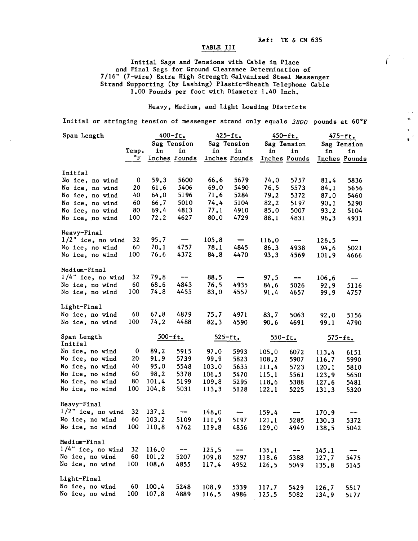$\mathbf{r} = \mathbf{x}$ 

#### TABLE III

Initial Sags and Tensions with Cable in Place and Final Sags for Ground Clearance Determination of 7/16" (7-wire) Extra High Strength Galvanized Steel Messenger Strand Supporting (by Lashing) Plastic-Sheath Telephone Cable 1.00 Pounds per foot with Diameter 1.40 Inch.

## Heavy, Medium, and Light Loading Districts

Initial or stringing tension of messenger strand only equals *3800* pounds at 60°F "

| Span Length            |                      |       | $400 - ft.$                    |           | $425 - ft.$   |             | $450 - ft.$       |                | $475 - ft.$   |  |
|------------------------|----------------------|-------|--------------------------------|-----------|---------------|-------------|-------------------|----------------|---------------|--|
|                        |                      |       | Sag Tension                    |           | Sag Tension   |             | Sag Tension       | Sag Tension    |               |  |
|                        | Temp.                | in    | in                             | in        | in            | in          | in                | in             | in            |  |
|                        | $\mathbf{^{\circ}F}$ |       | Inches Pounds                  |           | Inches Pounds |             | Inches Pounds     |                | Inches Pounds |  |
|                        |                      |       |                                |           |               |             |                   |                |               |  |
| Initial                |                      |       |                                |           |               |             |                   |                |               |  |
| No ice, no wind        | $\mathbf 0$          | 59.3  | 5600                           | 66.6      | 5679          | 74.0        | 5757              | 81.4           | 5836          |  |
| No ice, no wind        | 20                   | 61.6  | 5406                           | 69.0      | 5490          | 76.5        | 5573              | 84.1           | 5656          |  |
| No ice, no wind        | 40                   | 64.0  | 5196                           | 71.6      | 5284          | 79.2        | 5372              | 87.0           | 5460          |  |
| No ice, no wind        | 60                   | 66.7  | 5010                           | 74.4      | 5104          | 82.2        | 5197              | 90.1           | 5290          |  |
| No ice, no wind        | 80                   | 69.4  | 4813                           | 77.1      | 4910          | 85.0        | 5007              | 93.2           | 5104          |  |
| No ice, no wind        | 100                  | 72.2  | 4627                           | 80.0      | 4729          | 88.1        | 4831              | 96.3           | 4931          |  |
| Heavy-Final            |                      |       |                                |           |               |             |                   |                |               |  |
| $1/2$ " ice, no wind   | 32                   | 95.7  | $\qquad \qquad \longleftarrow$ | 105.8     | --            | 116.0       | ---               | 126.5          |               |  |
| No ice, no wind        | 60                   | 70.1  | 4757                           | 78.1      | 4845          | 86.3        | 4938              | 94.6           | 5021          |  |
| No ice, no wind        | 100                  | 76.6  | 4372                           | 84.8      | 4470          | 93.3        | 4569              | 101.9          | 4666          |  |
|                        |                      |       |                                |           |               |             |                   |                |               |  |
| Medium-Final           |                      |       |                                |           |               |             |                   |                |               |  |
| $1/4$ " ice, no wind   | 32                   | 79.8  | --                             | 88.5      | --            | 97.5        | $\hspace{0.05cm}$ | 106.6          |               |  |
| No ice, no wind        | 60                   | 68.6  | 4843                           | 76.5      | 4935          | 84.6        | 5026              | 92.9           | 5116          |  |
| No ice, no wind        | 100                  | 74.8  | 4455                           | 83.0      | 4557          | 91.4        | 4657              | 99.9           | 4757          |  |
| Light-Final            |                      |       |                                |           |               |             |                   |                |               |  |
| No ice, no wind        | 60                   | 67.8  | 4879                           | 75.7      | 4971          | 83.7        | 5063              | 92.0           | 5156          |  |
| No ice, no wind        | 100                  | 74.2  | 4488                           | 82.3      | 4590          | 90.6        | 4691              | 99.1           | 4790          |  |
|                        |                      |       |                                |           |               |             |                   |                |               |  |
| Span Length<br>Initial |                      |       | $500-ft.$                      | $525-ft.$ |               | $550 - ft.$ |                   | $575-ft.$      |               |  |
| No ice, no wind        | $\mathbf{0}$         | 89.2  | 5915                           | 97.0      |               |             |                   |                |               |  |
| No ice, no wind        | 20 <sup>°</sup>      | 91.9  | 5739                           | 99.9      | 5993<br>5823  | 105.0       | 6072              | 113.4          | 6151          |  |
|                        | 40                   | 95.0  | 5548                           |           |               | 108.2       | 5907              | 116.7          | 5990          |  |
| No ice, no wind        | 60                   |       | 5378                           | 103.0     | 5635          | 111.4       | 5723              | 120.1          | 5810          |  |
| No ice, no wind        |                      | 98.2  |                                | 106.5     | 5470          | 115.1       | 5561              | 123.9          | 5650          |  |
| No ice, no wind        | 80                   | 101.4 | 5199                           | 109.8     | 5295          | 118.6       | 5388              | 127.6          | 5481          |  |
| No ice, no wind        | 100                  | 104.8 | 5031                           | 113.3     | 5128          | 122.1       | 5225              | 131.3          | 5320          |  |
| Heavy-Final            |                      |       |                                |           |               |             |                   |                |               |  |
| $1/2$ " ice, no wind   | 32                   | 137.2 | ——                             | 148.0     | --            | 159.4       | --                | 170.9          | --            |  |
| No ice, no wind        | 60                   | 103.2 | 5109                           | 111.9     | 5197          | 121.1       | 5285              | 130.3          | 5372          |  |
| No ice, no wind        | 100                  | 110.8 | 4762                           | 119.8     | 4856          | 129.0       | 4949              | 138.5          | 5042          |  |
| Medium-Final           |                      |       |                                |           |               |             |                   |                |               |  |
| $1/4$ " ice, no wind   | 32                   | 116.0 |                                | 125.5     |               | 135.1       |                   |                |               |  |
| No ice, no wind        | 60                   | 101.2 | 5207                           | 109.8     | 5297          | 118.6       | --<br>5388        | 145.1          | --            |  |
| No ice, no wind        | 100                  | 108.6 | 4855                           | 117.4     | 4952          | 126.5       | 5049              | 127.7<br>135.8 | 5475<br>5145  |  |
|                        |                      |       |                                |           |               |             |                   |                |               |  |
| Light-Final            |                      |       |                                |           |               |             |                   |                |               |  |
| No ice, no wind        | 60                   | 100.4 | 5248                           | 108.9     | 5339          | 117.7       | 5429              | 126.7          | 5517          |  |
| No ice, no wind        | 100                  | 107.8 | 4889                           | 116.5     | 4986          | 125.5       | 5082              | 134.9          | 5177          |  |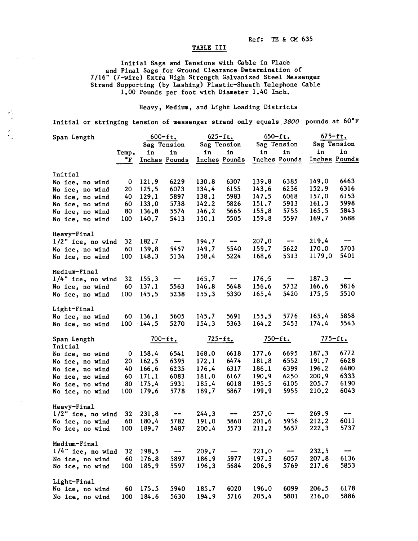## TABLE III

Initial Sags and Tensions with Cable in Place and Final Sags for Ground Clearance Determination of 7/16" (7-wire) Extra High Strength Galvanized Steel Messenger Strand Supporting (by Lashing) Plastic-Sheath Telephone Cable 1.00 Pounds per foot with Diameter 1.40 Inch.

## Heavy, Medium, and Light Loading Districts

Initial or stringing tension of messenger strand only *equals,3800* pounds at 60°F

..

| Span Length          |       | $600 - ft.$ |               | $625 - ft.$   |                                       | $650 - ft.$   |                   | $675 - ft.$ |               |
|----------------------|-------|-------------|---------------|---------------|---------------------------------------|---------------|-------------------|-------------|---------------|
|                      |       |             | Sag Tension   | Sag Tension   |                                       |               | Sag Tension       | Sag Tension |               |
|                      | Temp. | in          | in            | in            | in                                    | in            | in                | in          | in            |
|                      | °F    |             | Inches Pounds | Inches Pounds |                                       | Inches Pounds |                   |             | Inches Pounds |
|                      |       |             |               |               |                                       |               |                   |             |               |
| Initial              |       |             |               |               |                                       |               |                   |             |               |
| No ice, no wind      | 0     | 121.9       | 6229          | 130.8         | 6307                                  | 139.8         | 6385              | 149.0       | 6463          |
| No ice, no wind      | 20    | 125.5       | 6073          | 134.4         | 6155                                  | 143.6         | 6236              | 152.9       | 6316          |
| No ice, no wind      | 40    | 129.1       | 5897          | 138.1         | 5983                                  | 147.5         | 6068              | 157.0       | 6153          |
| No ice, no wind      | 60    | 133.0       | 5738          | 142.2         | 5826                                  | 151.7         | 5913              | 161.3       | 5998          |
| No ice, no wind      | 80    | 136.8       | 5574          | 146.2         | 5665                                  | 155.8         | 5755              | 165.5       | 5843          |
| No ice, no wind      | 100   | 140.7       | 5413          | 150.1         | 5505                                  | 159.8         | 5597              | 169.7       | 5688          |
| Heavy-Final          |       |             |               |               |                                       |               |                   |             |               |
| $1/2$ " ice, no wind | 32    | 182.7       | --            | 194.7         | $\hspace{0.05cm} \dashrightarrow$     | 207.0         | $\hspace{0.05cm}$ | 219.4       |               |
| No ice, no wind      | 60    | 139.8       | 5457          | 149.7         | 5540                                  | 159.7         | 5622              | 170.0       | 5703          |
|                      | 100   | 148.3       | 5134          | 158.4         | 5224                                  | 168.6         | 5313              | 1179.0      | 5401          |
| No ice, no wind      |       |             |               |               |                                       |               |                   |             |               |
| Medium-Final         |       |             |               |               |                                       |               |                   |             |               |
| $1/4$ " ice, no wind | 32    | 155.3       | $-$           | 165.7         | ——                                    | 176.5         | $-$               | 187.3       |               |
| No ice, no wind      | 60    | 137.1       | 5563          | 146.8         | 5648                                  | 156.6         | 5732              | 166.6       | 5816          |
| No ice, no wind      | 100   | 145.5       | 5238          | 155.3         | 5330                                  | 165.4         | 5420              | 175.5       | 5510          |
| Light-Final          |       |             |               |               |                                       |               |                   |             |               |
| No ice, no wind      | 60    | 136.1       | 5605          | 145.7         | 5691                                  | 155.5         | 5776              | 165.4       | 5858          |
| No ice, no wind      | 100   | 144.5       | 5270          | 154.3         | 5363                                  | 164.2         | 5453              | 174.4       | 5543          |
|                      |       |             |               |               |                                       |               |                   |             |               |
| Span Length          |       |             | $700 - ft.$   | $725-ft.$     |                                       |               | $750 - ft.$       |             | $775 - ft.$   |
| Initial              |       |             |               |               |                                       |               |                   |             |               |
| No ice, no wind      | 0     | 158.4       | 6541          | 168.0         | 6618                                  | 177.6         | 6695              | 187.3       | 6772          |
| No ice, no wind      | 20    | 162.5       | 6395          | 172.1         | 6474                                  | 181.8         | 6552              | 191.7       | 6628          |
| No ice, no wind      | 40    | 166.6       | 6235          | 176.4         | 6317                                  | 186.1         | 6399              | 196.2       | 6480          |
| No ice, no wind      | 60    | 171.1       | 6083          | 181.0         | 6167                                  | 190.9         | 6250              | 200.9       | 6333          |
| No ice, no wind      | 80    | 175.4       | 5931          | 185.4         | 6018                                  | 195.5         | 6105              | 205.7       | 6190          |
| No ice, no wind      | 100   | 179.6       | 5778          | 189.7         | 5867                                  | 199.9         | 5955              | 210.2       | 6043          |
| Heavy-Final          |       |             |               |               |                                       |               |                   |             |               |
| $1/2$ " ice, no wind | 32    | 231.8       |               | 244.3         | $\hspace{0.05cm}$ – $\hspace{0.05cm}$ | 257.0         | ——                | 269.9       |               |
| No ice, no wind      | 60    | 180.4       | 5782          | 191.0         | 5860                                  | 201.6         | 5936              | 212.2       | 6011          |
| No ice, no wind      | 100   | 189.7       | 5487          | 200.4         | 5573                                  | 211.2         | 5657              | 222.3       | 5737          |
|                      |       |             |               |               |                                       |               |                   |             |               |
| Medium-Final         |       |             |               |               |                                       |               |                   |             |               |
| $1/4$ " ice, no wind | 32    | 198.5       | --            | 209.7         |                                       | 221.0         |                   | 232.5       | --            |
| No ice, no wind      | 60    | 176.8       | 5897          | 186.9         | 5977                                  | 197.3         | 6057              | 207.8       | 6136          |
| No ice, no wind      | 100   | 185.9       | 5597          | 196.3         | 5684                                  | 206.9         | 5769              | 217.6       | 5853          |
| Light-Final          |       |             |               |               |                                       |               |                   |             |               |
| No ice, no wind      | 60    | 175.5       | 5940          | 185.7         | 6020                                  | 196.0         | 6099              | 206.5       | 6178          |
| No ice, no wind      | 100   | 184.6       | 5630          | 194.9         | 5716                                  | 205.4         | 5801              | 216.0       | 5886          |
|                      |       |             |               |               |                                       |               |                   |             |               |